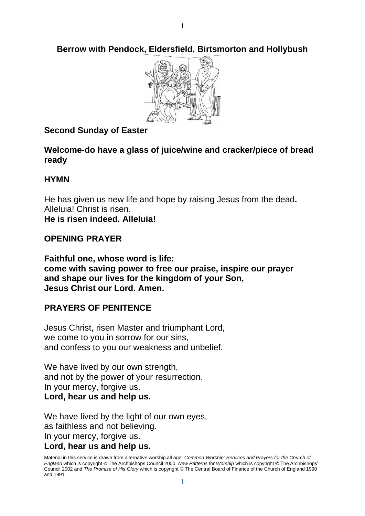**Berrow with Pendock, Eldersfield, Birtsmorton and Hollybush**



# **Second Sunday of Easter**

**Welcome-do have a glass of juice/wine and cracker/piece of bread ready**

### **HYMN**

He has given us new life and hope by raising Jesus from the dead**.** Alleluia! Christ is risen. **He is risen indeed. Alleluia!**

## **OPENING PRAYER**

**Faithful one, whose word is life: come with saving power to free our praise, inspire our prayer and shape our lives for the kingdom of your Son, Jesus Christ our Lord. Amen.**

# **PRAYERS OF PENITENCE**

Jesus Christ, risen Master and triumphant Lord, we come to you in sorrow for our sins, and confess to you our weakness and unbelief.

We have lived by our own strength, and not by the power of your resurrection. In your mercy, forgive us. **Lord, hear us and help us.**

We have lived by the light of our own eyes, as faithless and not believing. In your mercy, forgive us. **Lord, hear us and help us.**

Material in this service is drawn from alternative worship all age, *Common Worship: Services and Prayers for the Church of England* which is copyright © The Archbishops Council 2000, *New Patterns for Worship* which is copyright © The Archbishops' Council 2002 and *The Promise of His Glory* which is copyright © The Central Board of Finance of the Church of England 1990 and 1991.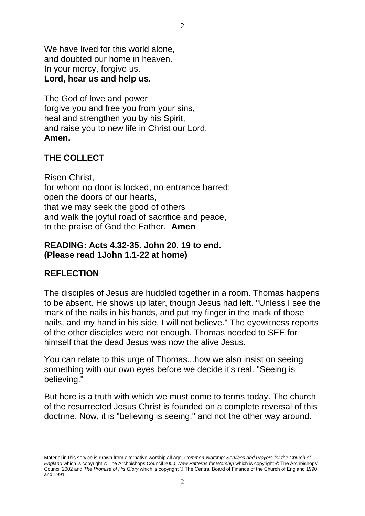We have lived for this world alone. and doubted our home in heaven. In your mercy, forgive us. **Lord, hear us and help us.**

The God of love and power forgive you and free you from your sins, heal and strengthen you by his Spirit, and raise you to new life in Christ our Lord. **Amen.**

## **THE COLLECT**

Risen Christ, for whom no door is locked, no entrance barred: open the doors of our hearts, that we may seek the good of others and walk the joyful road of sacrifice and peace, to the praise of God the Father. **Amen**

#### **READING: Acts 4.32-35. John 20. 19 to end. (Please read 1John 1.1-22 at home)**

### **REFLECTION**

The disciples of Jesus are huddled together in a room. Thomas happens to be absent. He shows up later, though Jesus had left. "Unless I see the mark of the nails in his hands, and put my finger in the mark of those nails, and my hand in his side, I will not believe." The eyewitness reports of the other disciples were not enough. Thomas needed to SEE for himself that the dead Jesus was now the alive Jesus.

You can relate to this urge of Thomas...how we also insist on seeing something with our own eyes before we decide it's real. "Seeing is believing."

But here is a truth with which we must come to terms today. The church of the resurrected Jesus Christ is founded on a complete reversal of this doctrine. Now, it is "believing is seeing," and not the other way around.

 $\mathcal{D}_{\mathcal{L}}$ 

Material in this service is drawn from alternative worship all age, *Common Worship: Services and Prayers for the Church of England* which is copyright © The Archbishops Council 2000, *New Patterns for Worship* which is copyright © The Archbishops' Council 2002 and *The Promise of His Glory* which is copyright © The Central Board of Finance of the Church of England 1990 and 1991.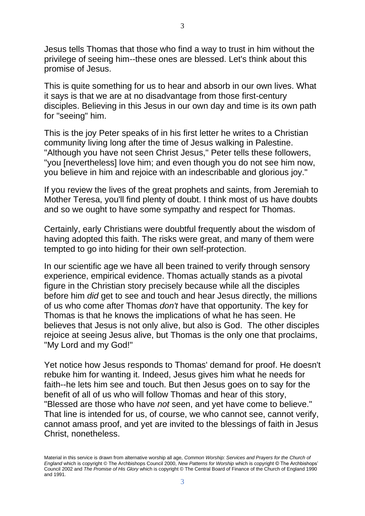Jesus tells Thomas that those who find a way to trust in him without the privilege of seeing him--these ones are blessed. Let's think about this promise of Jesus.

This is quite something for us to hear and absorb in our own lives. What it says is that we are at no disadvantage from those first-century disciples. Believing in this Jesus in our own day and time is its own path for "seeing" him.

This is the joy Peter speaks of in his first letter he writes to a Christian community living long after the time of Jesus walking in Palestine. "Although you have not seen Christ Jesus," Peter tells these followers, "you [nevertheless] love him; and even though you do not see him now, you believe in him and rejoice with an indescribable and glorious joy."

If you review the lives of the great prophets and saints, from Jeremiah to Mother Teresa, you'll find plenty of doubt. I think most of us have doubts and so we ought to have some sympathy and respect for Thomas.

Certainly, early Christians were doubtful frequently about the wisdom of having adopted this faith. The risks were great, and many of them were tempted to go into hiding for their own self-protection.

In our scientific age we have all been trained to verify through sensory experience, empirical evidence. Thomas actually stands as a pivotal figure in the Christian story precisely because while all the disciples before him *did* get to see and touch and hear Jesus directly, the millions of us who come after Thomas *don't* have that opportunity. The key for Thomas is that he knows the implications of what he has seen. He believes that Jesus is not only alive, but also is God. The other disciples rejoice at seeing Jesus alive, but Thomas is the only one that proclaims, "My Lord and my God!"

Yet notice how Jesus responds to Thomas' demand for proof. He doesn't rebuke him for wanting it. Indeed, Jesus gives him what he needs for faith--he lets him see and touch. But then Jesus goes on to say for the benefit of all of us who will follow Thomas and hear of this story, "Blessed are those who have *not* seen, and yet have come to believe." That line is intended for us, of course, we who cannot see, cannot verify, cannot amass proof, and yet are invited to the blessings of faith in Jesus Christ, nonetheless.

Material in this service is drawn from alternative worship all age, *Common Worship: Services and Prayers for the Church of England* which is copyright © The Archbishops Council 2000, *New Patterns for Worship* which is copyright © The Archbishops' Council 2002 and *The Promise of His Glory* which is copyright © The Central Board of Finance of the Church of England 1990 and 1991.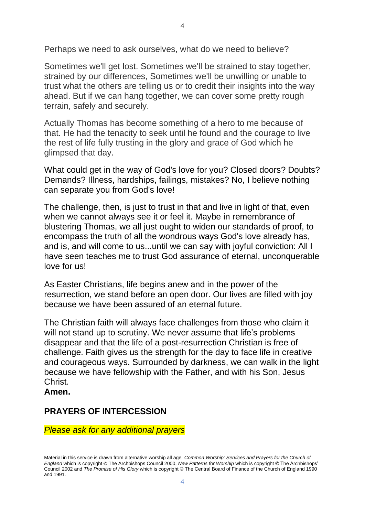Perhaps we need to ask ourselves, what do we need to believe?

Sometimes we'll get lost. Sometimes we'll be strained to stay together, strained by our differences, Sometimes we'll be unwilling or unable to trust what the others are telling us or to credit their insights into the way ahead. But if we can hang together, we can cover some pretty rough terrain, safely and securely.

Actually Thomas has become something of a hero to me because of that. He had the tenacity to seek until he found and the courage to live the rest of life fully trusting in the glory and grace of God which he glimpsed that day.

What could get in the way of God's love for you? Closed doors? Doubts? Demands? Illness, hardships, failings, mistakes? No, I believe nothing can separate you from God's love!

The challenge, then, is just to trust in that and live in light of that, even when we cannot always see it or feel it. Maybe in remembrance of blustering Thomas, we all just ought to widen our standards of proof, to encompass the truth of all the wondrous ways God's love already has, and is, and will come to us...until we can say with joyful conviction: All I have seen teaches me to trust God assurance of eternal, unconquerable love for us!

As Easter Christians, life begins anew and in the power of the resurrection, we stand before an open door. Our lives are filled with joy because we have been assured of an eternal future.

The Christian faith will always face challenges from those who claim it will not stand up to scrutiny. We never assume that life's problems disappear and that the life of a post-resurrection Christian is free of challenge. Faith gives us the strength for the day to face life in creative and courageous ways. Surrounded by darkness, we can walk in the light because we have fellowship with the Father, and with his Son, Jesus Christ.

**Amen.**

#### **PRAYERS OF INTERCESSION**

*Please ask for any additional prayers*

Material in this service is drawn from alternative worship all age, *Common Worship: Services and Prayers for the Church of England* which is copyright © The Archbishops Council 2000, *New Patterns for Worship* which is copyright © The Archbishops' Council 2002 and *The Promise of His Glory* which is copyright © The Central Board of Finance of the Church of England 1990 and 1991.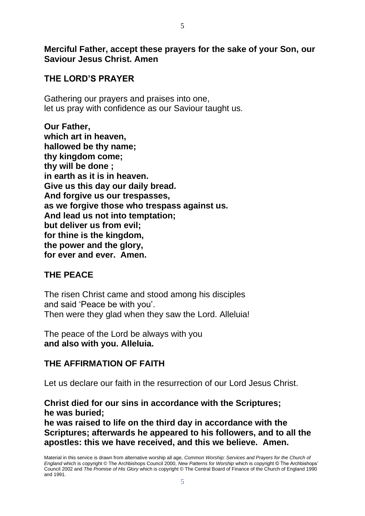**Merciful Father, accept these prayers for the sake of your Son, our Saviour Jesus Christ. Amen**

### **THE LORD'S PRAYER**

Gathering our prayers and praises into one, let us pray with confidence as our Saviour taught us.

**Our Father, which art in heaven, hallowed be thy name; thy kingdom come; thy will be done ; in earth as it is in heaven. Give us this day our daily bread. And forgive us our trespasses, as we forgive those who trespass against us. And lead us not into temptation; but deliver us from evil; for thine is the kingdom, the power and the glory, for ever and ever. Amen.**

### **THE PEACE**

The risen Christ came and stood among his disciples and said 'Peace be with you'. Then were they glad when they saw the Lord. Alleluia!

The peace of the Lord be always with you **and also with you. Alleluia.**

### **THE AFFIRMATION OF FAITH**

Let us declare our faith in the resurrection of our Lord Jesus Christ.

**Christ died for our sins in accordance with the Scriptures; he was buried;**

**he was raised to life on the third day in accordance with the Scriptures; afterwards he appeared to his followers, and to all the apostles: this we have received, and this we believe. Amen.**

Material in this service is drawn from alternative worship all age, *Common Worship: Services and Prayers for the Church of England* which is copyright © The Archbishops Council 2000, *New Patterns for Worship* which is copyright © The Archbishops' Council 2002 and *The Promise of His Glory* which is copyright © The Central Board of Finance of the Church of England 1990 and 1991.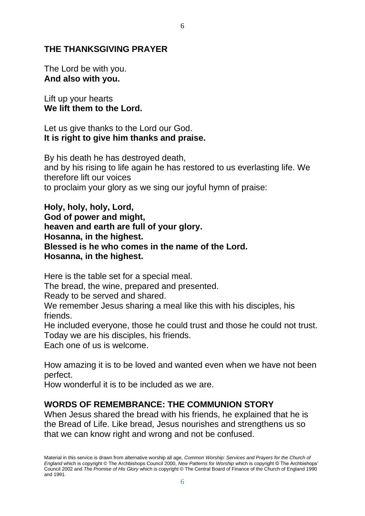#### **THE THANKSGIVING PRAYER**

The Lord be with you. **And also with you.**

Lift up your hearts **We lift them to the Lord.**

Let us give thanks to the Lord our God. **It is right to give him thanks and praise.**

By his death he has destroyed death, and by his rising to life again he has restored to us everlasting life. We therefore lift our voices to proclaim your glory as we sing our joyful hymn of praise:

6

**Holy, holy, holy, Lord, God of power and might, heaven and earth are full of your glory. Hosanna, in the highest. Blessed is he who comes in the name of the Lord. Hosanna, in the highest.** 

Here is the table set for a special meal.

The bread, the wine, prepared and presented.

Ready to be served and shared.

We remember Jesus sharing a meal like this with his disciples, his friends.

He included everyone, those he could trust and those he could not trust. Today we are his disciples, his friends.

Each one of us is welcome.

How amazing it is to be loved and wanted even when we have not been perfect.

How wonderful it is to be included as we are.

#### **WORDS OF REMEMBRANCE: THE COMMUNION STORY**

When Jesus shared the bread with his friends, he explained that he is the Bread of Life. Like bread, Jesus nourishes and strengthens us so that we can know right and wrong and not be confused.

Material in this service is drawn from alternative worship all age, *Common Worship: Services and Prayers for the Church of England* which is copyright © The Archbishops Council 2000, *New Patterns for Worship* which is copyright © The Archbishops' Council 2002 and *The Promise of His Glory* which is copyright © The Central Board of Finance of the Church of England 1990 and 1991.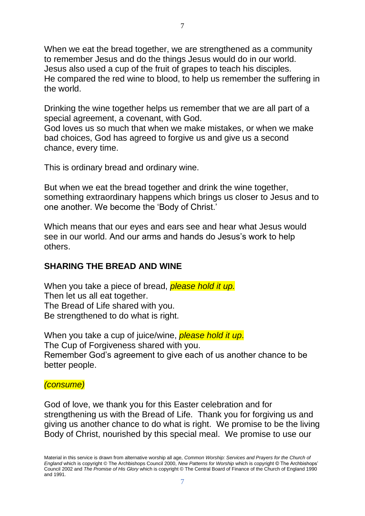When we eat the bread together, we are strengthened as a community to remember Jesus and do the things Jesus would do in our world. Jesus also used a cup of the fruit of grapes to teach his disciples. He compared the red wine to blood, to help us remember the suffering in the world.

Drinking the wine together helps us remember that we are all part of a special agreement, a covenant, with God.

God loves us so much that when we make mistakes, or when we make bad choices, God has agreed to forgive us and give us a second chance, every time.

This is ordinary bread and ordinary wine.

But when we eat the bread together and drink the wine together, something extraordinary happens which brings us closer to Jesus and to one another. We become the 'Body of Christ.'

Which means that our eyes and ears see and hear what Jesus would see in our world. And our arms and hands do Jesus's work to help others.

### **SHARING THE BREAD AND WINE**

When you take a piece of bread, *please hold it up.* Then let us all eat together. The Bread of Life shared with you. Be strengthened to do what is right.

When you take a cup of juice/wine, *please hold it up*. The Cup of Forgiveness shared with you. Remember God's agreement to give each of us another chance to be better people.

#### *(consume)*

God of love, we thank you for this Easter celebration and for strengthening us with the Bread of Life. Thank you for forgiving us and giving us another chance to do what is right. We promise to be the living Body of Christ, nourished by this special meal. We promise to use our

Material in this service is drawn from alternative worship all age, *Common Worship: Services and Prayers for the Church of England* which is copyright © The Archbishops Council 2000, *New Patterns for Worship* which is copyright © The Archbishops' Council 2002 and *The Promise of His Glory* which is copyright © The Central Board of Finance of the Church of England 1990 and 1991.